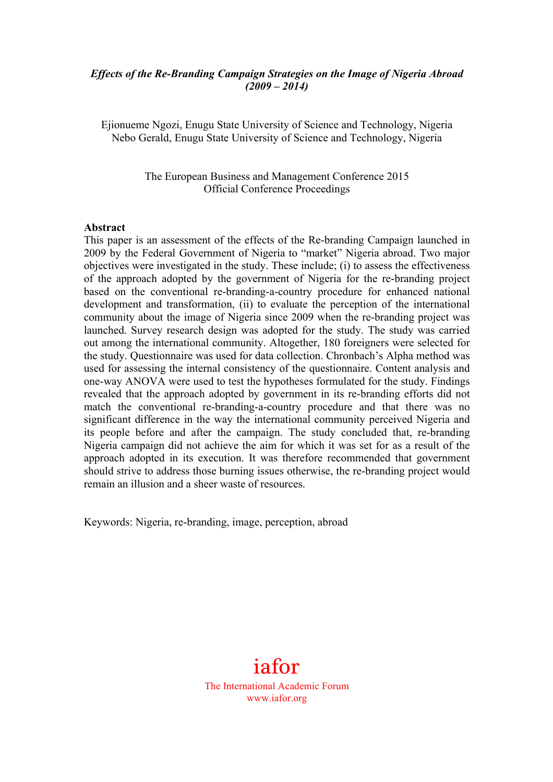#### *Effects of the Re-Branding Campaign Strategies on the Image of Nigeria Abroad (2009 – 2014)*

Ejionueme Ngozi, Enugu State University of Science and Technology, Nigeria Nebo Gerald, Enugu State University of Science and Technology, Nigeria

> The European Business and Management Conference 2015 Official Conference Proceedings

#### **Abstract**

This paper is an assessment of the effects of the Re-branding Campaign launched in 2009 by the Federal Government of Nigeria to "market" Nigeria abroad. Two major objectives were investigated in the study. These include; (i) to assess the effectiveness of the approach adopted by the government of Nigeria for the re-branding project based on the conventional re-branding-a-country procedure for enhanced national development and transformation, (ii) to evaluate the perception of the international community about the image of Nigeria since 2009 when the re-branding project was launched. Survey research design was adopted for the study. The study was carried out among the international community. Altogether, 180 foreigners were selected for the study. Questionnaire was used for data collection. Chronbach's Alpha method was used for assessing the internal consistency of the questionnaire. Content analysis and one-way ANOVA were used to test the hypotheses formulated for the study. Findings revealed that the approach adopted by government in its re-branding efforts did not match the conventional re-branding-a-country procedure and that there was no significant difference in the way the international community perceived Nigeria and its people before and after the campaign. The study concluded that, re-branding Nigeria campaign did not achieve the aim for which it was set for as a result of the approach adopted in its execution. It was therefore recommended that government should strive to address those burning issues otherwise, the re-branding project would remain an illusion and a sheer waste of resources.

Keywords: Nigeria, re-branding, image, perception, abroad



The International Academic Forum www.iafor.org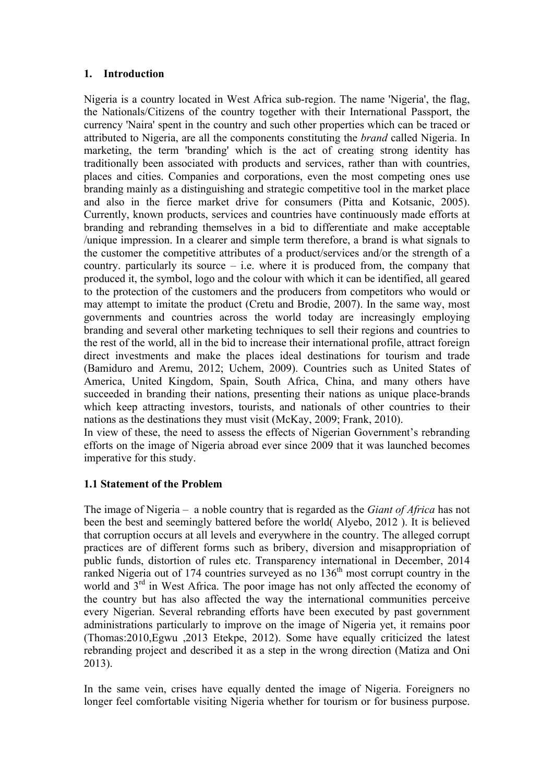#### **1. Introduction**

Nigeria is a country located in West Africa sub-region. The name 'Nigeria', the flag, the Nationals/Citizens of the country together with their International Passport, the currency 'Naira' spent in the country and such other properties which can be traced or attributed to Nigeria, are all the components constituting the *brand* called Nigeria. In marketing, the term 'branding' which is the act of creating strong identity has traditionally been associated with products and services, rather than with countries, places and cities. Companies and corporations, even the most competing ones use branding mainly as a distinguishing and strategic competitive tool in the market place and also in the fierce market drive for consumers (Pitta and Kotsanic, 2005). Currently, known products, services and countries have continuously made efforts at branding and rebranding themselves in a bid to differentiate and make acceptable /unique impression. In a clearer and simple term therefore, a brand is what signals to the customer the competitive attributes of a product/services and/or the strength of a country. particularly its source  $-$  i.e. where it is produced from, the company that produced it, the symbol, logo and the colour with which it can be identified, all geared to the protection of the customers and the producers from competitors who would or may attempt to imitate the product (Cretu and Brodie, 2007). In the same way, most governments and countries across the world today are increasingly employing branding and several other marketing techniques to sell their regions and countries to the rest of the world, all in the bid to increase their international profile, attract foreign direct investments and make the places ideal destinations for tourism and trade (Bamiduro and Aremu, 2012; Uchem, 2009). Countries such as United States of America, United Kingdom, Spain, South Africa, China, and many others have succeeded in branding their nations, presenting their nations as unique place-brands which keep attracting investors, tourists, and nationals of other countries to their nations as the destinations they must visit (McKay, 2009; Frank, 2010).

In view of these, the need to assess the effects of Nigerian Government's rebranding efforts on the image of Nigeria abroad ever since 2009 that it was launched becomes imperative for this study.

#### **1.1 Statement of the Problem**

The image of Nigeria – a noble country that is regarded as the *Giant of Africa* has not been the best and seemingly battered before the world( Alyebo, 2012 ). It is believed that corruption occurs at all levels and everywhere in the country. The alleged corrupt practices are of different forms such as bribery, diversion and misappropriation of public funds, distortion of rules etc. Transparency international in December, 2014 ranked Nigeria out of 174 countries surveyed as no  $136<sup>th</sup>$  most corrupt country in the world and  $3<sup>rd</sup>$  in West Africa. The poor image has not only affected the economy of the country but has also affected the way the international communities perceive every Nigerian. Several rebranding efforts have been executed by past government administrations particularly to improve on the image of Nigeria yet, it remains poor (Thomas:2010,Egwu ,2013 Etekpe, 2012). Some have equally criticized the latest rebranding project and described it as a step in the wrong direction (Matiza and Oni 2013).

In the same vein, crises have equally dented the image of Nigeria. Foreigners no longer feel comfortable visiting Nigeria whether for tourism or for business purpose.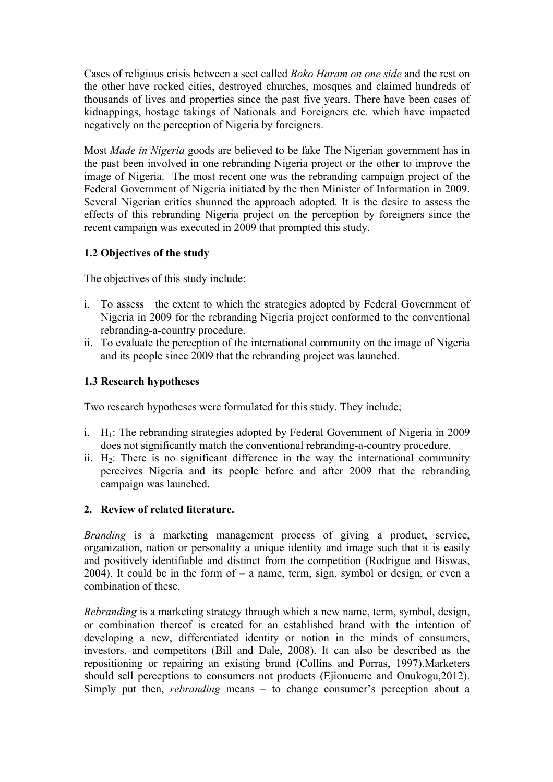Cases of religious crisis between a sect called *Boko Haram on one side* and the rest on the other have rocked cities, destroyed churches, mosques and claimed hundreds of thousands of lives and properties since the past five years. There have been cases of kidnappings, hostage takings of Nationals and Foreigners etc. which have impacted negatively on the perception of Nigeria by foreigners.

Most *Made in Nigeria* goods are believed to be fake The Nigerian government has in the past been involved in one rebranding Nigeria project or the other to improve the image of Nigeria. The most recent one was the rebranding campaign project of the Federal Government of Nigeria initiated by the then Minister of Information in 2009. Several Nigerian critics shunned the approach adopted. It is the desire to assess the effects of this rebranding Nigeria project on the perception by foreigners since the recent campaign was executed in 2009 that prompted this study.

#### **1.2 Objectives of the study**

The objectives of this study include:

- i. To assess the extent to which the strategies adopted by Federal Government of Nigeria in 2009 for the rebranding Nigeria project conformed to the conventional rebranding-a-country procedure.
- ii. To evaluate the perception of the international community on the image of Nigeria and its people since 2009 that the rebranding project was launched.

#### **1.3 Research hypotheses**

Two research hypotheses were formulated for this study. They include;

- i. H1: The rebranding strategies adopted by Federal Government of Nigeria in 2009 does not significantly match the conventional rebranding-a-country procedure.
- ii.  $H_2$ : There is no significant difference in the way the international community perceives Nigeria and its people before and after 2009 that the rebranding campaign was launched.

#### **2. Review of related literature.**

*Branding* is a marketing management process of giving a product, service, organization, nation or personality a unique identity and image such that it is easily and positively identifiable and distinct from the competition (Rodrigue and Biswas, 2004). It could be in the form of – a name, term, sign, symbol or design, or even a combination of these.

*Rebranding* is a marketing strategy through which a new name, term, symbol, design, or combination thereof is created for an established brand with the intention of developing a new, differentiated identity or notion in the minds of consumers, investors, and competitors (Bill and Dale, 2008). It can also be described as the repositioning or repairing an existing brand (Collins and Porras, 1997).Marketers should sell perceptions to consumers not products (Ejionueme and Onukogu,2012). Simply put then, *rebranding* means – to change consumer's perception about a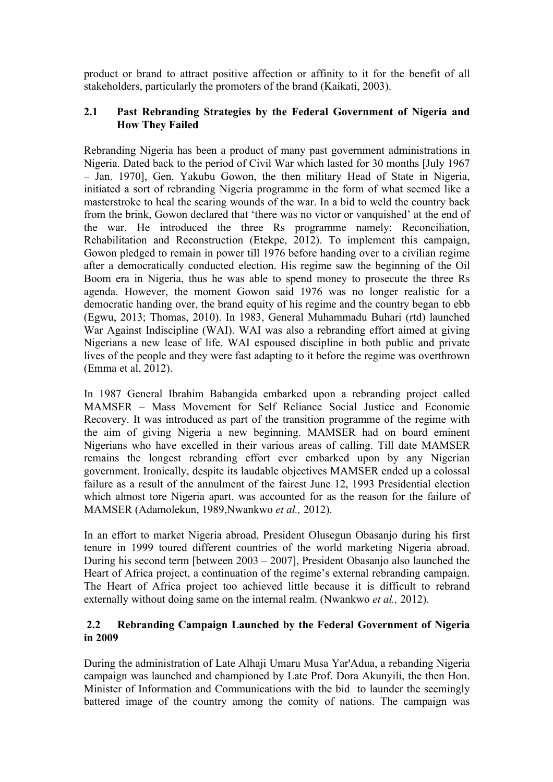product or brand to attract positive affection or affinity to it for the benefit of all stakeholders, particularly the promoters of the brand (Kaikati, 2003).

#### **2.1 Past Rebranding Strategies by the Federal Government of Nigeria and How They Failed**

Rebranding Nigeria has been a product of many past government administrations in Nigeria. Dated back to the period of Civil War which lasted for 30 months [July 1967 – Jan. 1970], Gen. Yakubu Gowon, the then military Head of State in Nigeria, initiated a sort of rebranding Nigeria programme in the form of what seemed like a masterstroke to heal the scaring wounds of the war. In a bid to weld the country back from the brink, Gowon declared that 'there was no victor or vanquished' at the end of the war. He introduced the three Rs programme namely: Reconciliation, Rehabilitation and Reconstruction (Etekpe, 2012). To implement this campaign, Gowon pledged to remain in power till 1976 before handing over to a civilian regime after a democratically conducted election. His regime saw the beginning of the Oil Boom era in Nigeria, thus he was able to spend money to prosecute the three Rs agenda. However, the moment Gowon said 1976 was no longer realistic for a democratic handing over, the brand equity of his regime and the country began to ebb (Egwu, 2013; Thomas, 2010). In 1983, General Muhammadu Buhari (rtd) launched War Against Indiscipline (WAI). WAI was also a rebranding effort aimed at giving Nigerians a new lease of life. WAI espoused discipline in both public and private lives of the people and they were fast adapting to it before the regime was overthrown (Emma et al, 2012).

In 1987 General Ibrahim Babangida embarked upon a rebranding project called MAMSER – Mass Movement for Self Reliance Social Justice and Economic Recovery. It was introduced as part of the transition programme of the regime with the aim of giving Nigeria a new beginning. MAMSER had on board eminent Nigerians who have excelled in their various areas of calling. Till date MAMSER remains the longest rebranding effort ever embarked upon by any Nigerian government. Ironically, despite its laudable objectives MAMSER ended up a colossal failure as a result of the annulment of the fairest June 12, 1993 Presidential election which almost tore Nigeria apart. was accounted for as the reason for the failure of MAMSER (Adamolekun, 1989,Nwankwo *et al.,* 2012).

In an effort to market Nigeria abroad, President Olusegun Obasanjo during his first tenure in 1999 toured different countries of the world marketing Nigeria abroad. During his second term [between 2003 – 2007], President Obasanjo also launched the Heart of Africa project, a continuation of the regime's external rebranding campaign. The Heart of Africa project too achieved little because it is difficult to rebrand externally without doing same on the internal realm. (Nwankwo *et al.,* 2012).

### **2.2 Rebranding Campaign Launched by the Federal Government of Nigeria in 2009**

During the administration of Late Alhaji Umaru Musa Yar'Adua, a rebanding Nigeria campaign was launched and championed by Late Prof. Dora Akunyili, the then Hon. Minister of Information and Communications with the bid to launder the seemingly battered image of the country among the comity of nations. The campaign was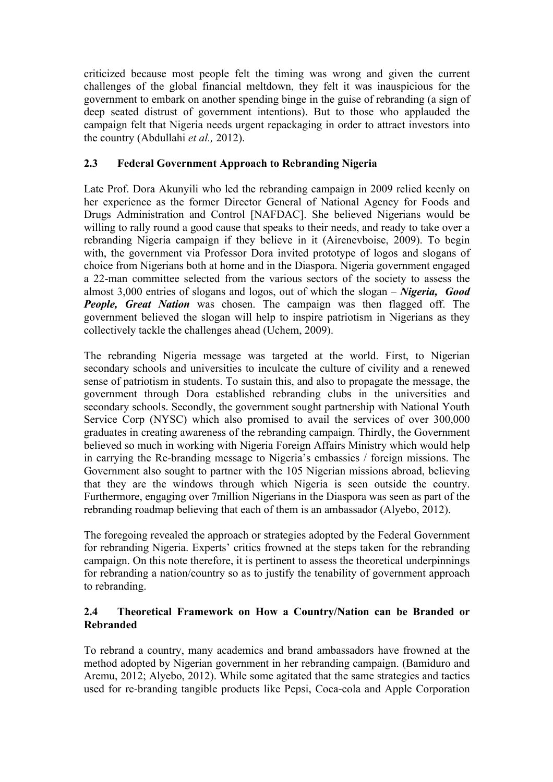criticized because most people felt the timing was wrong and given the current challenges of the global financial meltdown, they felt it was inauspicious for the government to embark on another spending binge in the guise of rebranding (a sign of deep seated distrust of government intentions). But to those who applauded the campaign felt that Nigeria needs urgent repackaging in order to attract investors into the country (Abdullahi *et al.,* 2012).

### **2.3 Federal Government Approach to Rebranding Nigeria**

Late Prof. Dora Akunyili who led the rebranding campaign in 2009 relied keenly on her experience as the former Director General of National Agency for Foods and Drugs Administration and Control [NAFDAC]. She believed Nigerians would be willing to rally round a good cause that speaks to their needs, and ready to take over a rebranding Nigeria campaign if they believe in it (Airenevboise, 2009). To begin with, the government via Professor Dora invited prototype of logos and slogans of choice from Nigerians both at home and in the Diaspora. Nigeria government engaged a 22-man committee selected from the various sectors of the society to assess the almost 3,000 entries of slogans and logos, out of which the slogan – *Nigeria, Good People, Great Nation* was chosen. The campaign was then flagged off. The government believed the slogan will help to inspire patriotism in Nigerians as they collectively tackle the challenges ahead (Uchem, 2009).

The rebranding Nigeria message was targeted at the world. First, to Nigerian secondary schools and universities to inculcate the culture of civility and a renewed sense of patriotism in students. To sustain this, and also to propagate the message, the government through Dora established rebranding clubs in the universities and secondary schools. Secondly, the government sought partnership with National Youth Service Corp (NYSC) which also promised to avail the services of over 300,000 graduates in creating awareness of the rebranding campaign. Thirdly, the Government believed so much in working with Nigeria Foreign Affairs Ministry which would help in carrying the Re-branding message to Nigeria's embassies / foreign missions. The Government also sought to partner with the 105 Nigerian missions abroad, believing that they are the windows through which Nigeria is seen outside the country. Furthermore, engaging over 7million Nigerians in the Diaspora was seen as part of the rebranding roadmap believing that each of them is an ambassador (Alyebo, 2012).

The foregoing revealed the approach or strategies adopted by the Federal Government for rebranding Nigeria. Experts' critics frowned at the steps taken for the rebranding campaign. On this note therefore, it is pertinent to assess the theoretical underpinnings for rebranding a nation/country so as to justify the tenability of government approach to rebranding.

### **2.4 Theoretical Framework on How a Country/Nation can be Branded or Rebranded**

To rebrand a country, many academics and brand ambassadors have frowned at the method adopted by Nigerian government in her rebranding campaign. (Bamiduro and Aremu, 2012; Alyebo, 2012). While some agitated that the same strategies and tactics used for re-branding tangible products like Pepsi, Coca-cola and Apple Corporation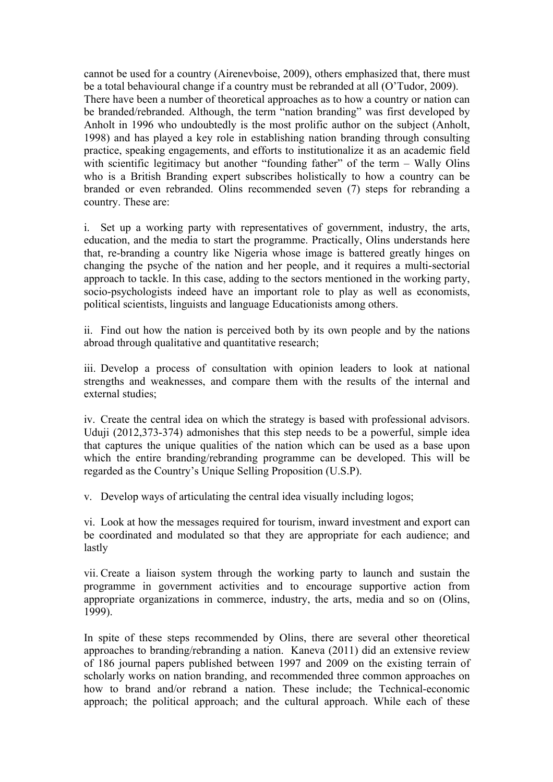cannot be used for a country (Airenevboise, 2009), others emphasized that, there must be a total behavioural change if a country must be rebranded at all (O'Tudor, 2009). There have been a number of theoretical approaches as to how a country or nation can be branded/rebranded. Although, the term "nation branding" was first developed by Anholt in 1996 who undoubtedly is the most prolific author on the subject (Anholt, 1998) and has played a key role in establishing nation branding through consulting practice, speaking engagements, and efforts to institutionalize it as an academic field with scientific legitimacy but another "founding father" of the term – Wally Olins who is a British Branding expert subscribes holistically to how a country can be branded or even rebranded. Olins recommended seven (7) steps for rebranding a country. These are:

i. Set up a working party with representatives of government, industry, the arts, education, and the media to start the programme. Practically, Olins understands here that, re-branding a country like Nigeria whose image is battered greatly hinges on changing the psyche of the nation and her people, and it requires a multi-sectorial approach to tackle. In this case, adding to the sectors mentioned in the working party, socio-psychologists indeed have an important role to play as well as economists, political scientists, linguists and language Educationists among others.

ii. Find out how the nation is perceived both by its own people and by the nations abroad through qualitative and quantitative research;

iii. Develop a process of consultation with opinion leaders to look at national strengths and weaknesses, and compare them with the results of the internal and external studies;

iv. Create the central idea on which the strategy is based with professional advisors. Uduji (2012,373-374) admonishes that this step needs to be a powerful, simple idea that captures the unique qualities of the nation which can be used as a base upon which the entire branding/rebranding programme can be developed. This will be regarded as the Country's Unique Selling Proposition (U.S.P).

v. Develop ways of articulating the central idea visually including logos;

vi. Look at how the messages required for tourism, inward investment and export can be coordinated and modulated so that they are appropriate for each audience; and lastly

vii. Create a liaison system through the working party to launch and sustain the programme in government activities and to encourage supportive action from appropriate organizations in commerce, industry, the arts, media and so on (Olins, 1999).

In spite of these steps recommended by Olins, there are several other theoretical approaches to branding/rebranding a nation. Kaneva (2011) did an extensive review of 186 journal papers published between 1997 and 2009 on the existing terrain of scholarly works on nation branding, and recommended three common approaches on how to brand and/or rebrand a nation. These include; the Technical-economic approach; the political approach; and the cultural approach. While each of these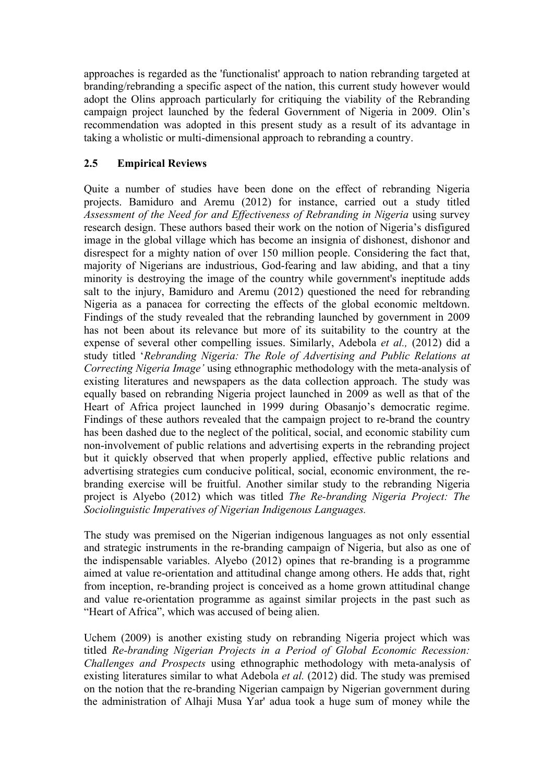approaches is regarded as the 'functionalist' approach to nation rebranding targeted at branding/rebranding a specific aspect of the nation, this current study however would adopt the Olins approach particularly for critiquing the viability of the Rebranding campaign project launched by the federal Government of Nigeria in 2009. Olin's recommendation was adopted in this present study as a result of its advantage in taking a wholistic or multi-dimensional approach to rebranding a country.

### **2.5 Empirical Reviews**

Quite a number of studies have been done on the effect of rebranding Nigeria projects. Bamiduro and Aremu (2012) for instance, carried out a study titled *Assessment of the Need for and Effectiveness of Rebranding in Nigeria* using survey research design. These authors based their work on the notion of Nigeria's disfigured image in the global village which has become an insignia of dishonest, dishonor and disrespect for a mighty nation of over 150 million people. Considering the fact that, majority of Nigerians are industrious, God-fearing and law abiding, and that a tiny minority is destroying the image of the country while government's ineptitude adds salt to the injury, Bamiduro and Aremu (2012) questioned the need for rebranding Nigeria as a panacea for correcting the effects of the global economic meltdown. Findings of the study revealed that the rebranding launched by government in 2009 has not been about its relevance but more of its suitability to the country at the expense of several other compelling issues. Similarly, Adebola *et al.,* (2012) did a study titled '*Rebranding Nigeria: The Role of Advertising and Public Relations at Correcting Nigeria Image'* using ethnographic methodology with the meta-analysis of existing literatures and newspapers as the data collection approach. The study was equally based on rebranding Nigeria project launched in 2009 as well as that of the Heart of Africa project launched in 1999 during Obasanjo's democratic regime. Findings of these authors revealed that the campaign project to re-brand the country has been dashed due to the neglect of the political, social, and economic stability cum non-involvement of public relations and advertising experts in the rebranding project but it quickly observed that when properly applied, effective public relations and advertising strategies cum conducive political, social, economic environment, the rebranding exercise will be fruitful. Another similar study to the rebranding Nigeria project is Alyebo (2012) which was titled *The Re-branding Nigeria Project: The Sociolinguistic Imperatives of Nigerian Indigenous Languages.*

The study was premised on the Nigerian indigenous languages as not only essential and strategic instruments in the re-branding campaign of Nigeria, but also as one of the indispensable variables. Alyebo (2012) opines that re-branding is a programme aimed at value re-orientation and attitudinal change among others. He adds that, right from inception, re-branding project is conceived as a home grown attitudinal change and value re-orientation programme as against similar projects in the past such as "Heart of Africa", which was accused of being alien.

Uchem (2009) is another existing study on rebranding Nigeria project which was titled *Re-branding Nigerian Projects in a Period of Global Economic Recession: Challenges and Prospects* using ethnographic methodology with meta-analysis of existing literatures similar to what Adebola *et al.* (2012) did. The study was premised on the notion that the re-branding Nigerian campaign by Nigerian government during the administration of Alhaji Musa Yar' adua took a huge sum of money while the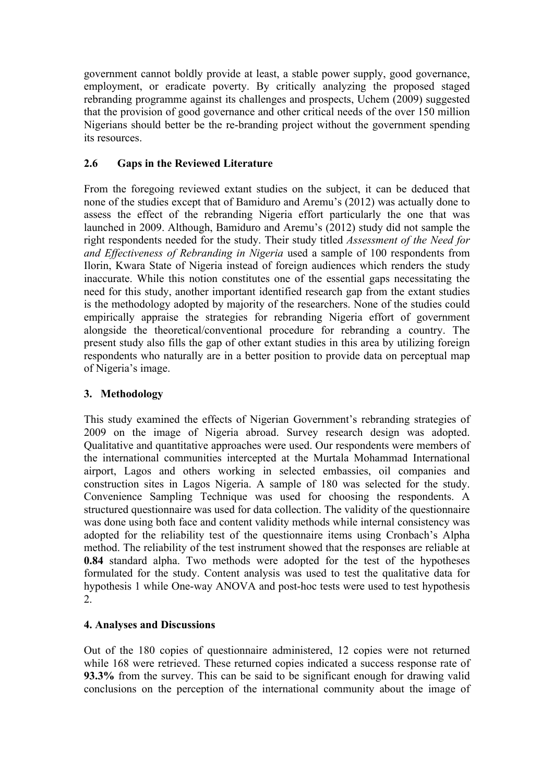government cannot boldly provide at least, a stable power supply, good governance, employment, or eradicate poverty. By critically analyzing the proposed staged rebranding programme against its challenges and prospects, Uchem (2009) suggested that the provision of good governance and other critical needs of the over 150 million Nigerians should better be the re-branding project without the government spending its resources.

# **2.6 Gaps in the Reviewed Literature**

From the foregoing reviewed extant studies on the subject, it can be deduced that none of the studies except that of Bamiduro and Aremu's (2012) was actually done to assess the effect of the rebranding Nigeria effort particularly the one that was launched in 2009. Although, Bamiduro and Aremu's (2012) study did not sample the right respondents needed for the study. Their study titled *Assessment of the Need for and Effectiveness of Rebranding in Nigeria* used a sample of 100 respondents from Ilorin, Kwara State of Nigeria instead of foreign audiences which renders the study inaccurate. While this notion constitutes one of the essential gaps necessitating the need for this study, another important identified research gap from the extant studies is the methodology adopted by majority of the researchers. None of the studies could empirically appraise the strategies for rebranding Nigeria effort of government alongside the theoretical/conventional procedure for rebranding a country. The present study also fills the gap of other extant studies in this area by utilizing foreign respondents who naturally are in a better position to provide data on perceptual map of Nigeria's image.

#### **3. Methodology**

This study examined the effects of Nigerian Government's rebranding strategies of 2009 on the image of Nigeria abroad. Survey research design was adopted. Qualitative and quantitative approaches were used. Our respondents were members of the international communities intercepted at the Murtala Mohammad International airport, Lagos and others working in selected embassies, oil companies and construction sites in Lagos Nigeria. A sample of 180 was selected for the study. Convenience Sampling Technique was used for choosing the respondents. A structured questionnaire was used for data collection. The validity of the questionnaire was done using both face and content validity methods while internal consistency was adopted for the reliability test of the questionnaire items using Cronbach's Alpha method. The reliability of the test instrument showed that the responses are reliable at **0.84** standard alpha. Two methods were adopted for the test of the hypotheses formulated for the study. Content analysis was used to test the qualitative data for hypothesis 1 while One-way ANOVA and post-hoc tests were used to test hypothesis 2.

#### **4. Analyses and Discussions**

Out of the 180 copies of questionnaire administered, 12 copies were not returned while 168 were retrieved. These returned copies indicated a success response rate of **93.3%** from the survey. This can be said to be significant enough for drawing valid conclusions on the perception of the international community about the image of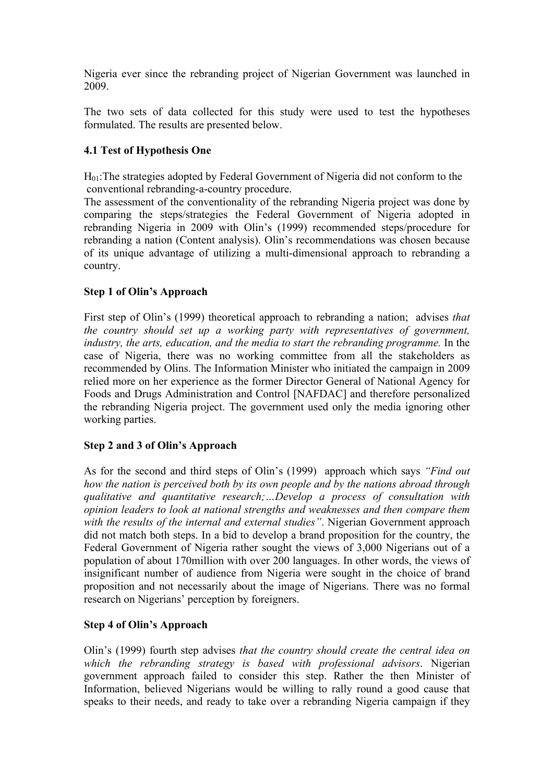Nigeria ever since the rebranding project of Nigerian Government was launched in 2009.

The two sets of data collected for this study were used to test the hypotheses formulated. The results are presented below.

# **4.1 Test of Hypothesis One**

 $H<sub>01</sub>$ : The strategies adopted by Federal Government of Nigeria did not conform to the conventional rebranding-a-country procedure.

The assessment of the conventionality of the rebranding Nigeria project was done by comparing the steps/strategies the Federal Government of Nigeria adopted in rebranding Nigeria in 2009 with Olin's (1999) recommended steps/procedure for rebranding a nation (Content analysis). Olin's recommendations was chosen because of its unique advantage of utilizing a multi-dimensional approach to rebranding a country.

#### **Step 1 of Olin's Approach**

First step of Olin's (1999) theoretical approach to rebranding a nation; advises *that the country should set up a working party with representatives of government, industry, the arts, education, and the media to start the rebranding programme.* In the case of Nigeria, there was no working committee from all the stakeholders as recommended by Olins. The Information Minister who initiated the campaign in 2009 relied more on her experience as the former Director General of National Agency for Foods and Drugs Administration and Control [NAFDAC] and therefore personalized the rebranding Nigeria project. The government used only the media ignoring other working parties.

#### **Step 2 and 3 of Olin's Approach**

As for the second and third steps of Olin's (1999) approach which says *"Find out how the nation is perceived both by its own people and by the nations abroad through qualitative and quantitative research;…Develop a process of consultation with opinion leaders to look at national strengths and weaknesses and then compare them with the results of the internal and external studies"*. Nigerian Government approach did not match both steps. In a bid to develop a brand proposition for the country, the Federal Government of Nigeria rather sought the views of 3,000 Nigerians out of a population of about 170million with over 200 languages. In other words, the views of insignificant number of audience from Nigeria were sought in the choice of brand proposition and not necessarily about the image of Nigerians. There was no formal research on Nigerians' perception by foreigners.

#### **Step 4 of Olin's Approach**

Olin's (1999) fourth step advises *that the country should create the central idea on which the rebranding strategy is based with professional advisors*. Nigerian government approach failed to consider this step. Rather the then Minister of Information, believed Nigerians would be willing to rally round a good cause that speaks to their needs, and ready to take over a rebranding Nigeria campaign if they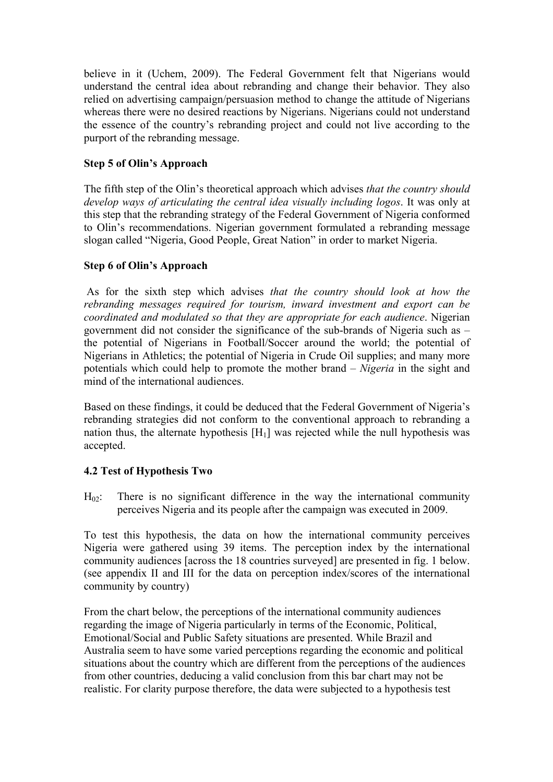believe in it (Uchem, 2009). The Federal Government felt that Nigerians would understand the central idea about rebranding and change their behavior. They also relied on advertising campaign/persuasion method to change the attitude of Nigerians whereas there were no desired reactions by Nigerians. Nigerians could not understand the essence of the country's rebranding project and could not live according to the purport of the rebranding message.

#### **Step 5 of Olin's Approach**

The fifth step of the Olin's theoretical approach which advises *that the country should develop ways of articulating the central idea visually including logos*. It was only at this step that the rebranding strategy of the Federal Government of Nigeria conformed to Olin's recommendations. Nigerian government formulated a rebranding message slogan called "Nigeria, Good People, Great Nation" in order to market Nigeria.

### **Step 6 of Olin's Approach**

As for the sixth step which advises *that the country should look at how the rebranding messages required for tourism, inward investment and export can be coordinated and modulated so that they are appropriate for each audience*. Nigerian government did not consider the significance of the sub-brands of Nigeria such as – the potential of Nigerians in Football/Soccer around the world; the potential of Nigerians in Athletics; the potential of Nigeria in Crude Oil supplies; and many more potentials which could help to promote the mother brand – *Nigeria* in the sight and mind of the international audiences.

Based on these findings, it could be deduced that the Federal Government of Nigeria's rebranding strategies did not conform to the conventional approach to rebranding a nation thus, the alternate hypothesis  $[H_1]$  was rejected while the null hypothesis was accepted.

# **4.2 Test of Hypothesis Two**

 $H_{02}$ : There is no significant difference in the way the international community perceives Nigeria and its people after the campaign was executed in 2009.

To test this hypothesis, the data on how the international community perceives Nigeria were gathered using 39 items. The perception index by the international community audiences [across the 18 countries surveyed] are presented in fig. 1 below. (see appendix II and III for the data on perception index/scores of the international community by country)

From the chart below, the perceptions of the international community audiences regarding the image of Nigeria particularly in terms of the Economic, Political, Emotional/Social and Public Safety situations are presented. While Brazil and Australia seem to have some varied perceptions regarding the economic and political situations about the country which are different from the perceptions of the audiences from other countries, deducing a valid conclusion from this bar chart may not be realistic. For clarity purpose therefore, the data were subjected to a hypothesis test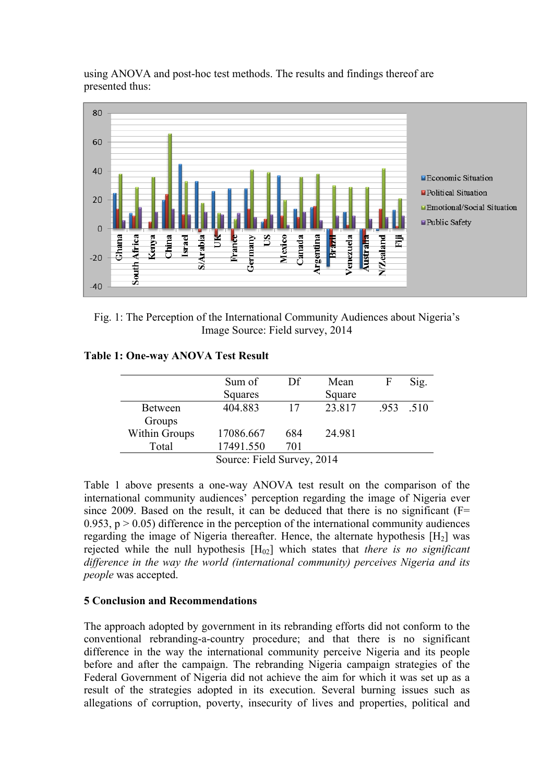

using ANOVA and post-hoc test methods. The results and findings thereof are presented thus:

Fig. 1: The Perception of the International Community Audiences about Nigeria's Image Source: Field survey, 2014

| <b>Table 1: One-way ANOVA Test Result</b> |  |  |
|-------------------------------------------|--|--|
|-------------------------------------------|--|--|

|                | Sum of                     | Df  | Mean   | F | Sig.      |  |  |  |  |  |  |  |  |  |
|----------------|----------------------------|-----|--------|---|-----------|--|--|--|--|--|--|--|--|--|
|                | Squares                    |     | Square |   |           |  |  |  |  |  |  |  |  |  |
| <b>Between</b> | 404.883                    | 17  | 23.817 |   | .953 .510 |  |  |  |  |  |  |  |  |  |
| Groups         |                            |     |        |   |           |  |  |  |  |  |  |  |  |  |
| Within Groups  | 17086.667                  | 684 | 24.981 |   |           |  |  |  |  |  |  |  |  |  |
| Total          | 17491.550                  | 701 |        |   |           |  |  |  |  |  |  |  |  |  |
|                | Source: Field Survey, 2014 |     |        |   |           |  |  |  |  |  |  |  |  |  |

Table 1 above presents a one-way ANOVA test result on the comparison of the international community audiences' perception regarding the image of Nigeria ever since 2009. Based on the result, it can be deduced that there is no significant  $(F=$ 0.953,  $p > 0.05$ ) difference in the perception of the international community audiences regarding the image of Nigeria thereafter. Hence, the alternate hypothesis  $[H_2]$  was rejected while the null hypothesis [H02] which states that *there is no significant difference in the way the world (international community) perceives Nigeria and its people* was accepted.

#### **5 Conclusion and Recommendations**

The approach adopted by government in its rebranding efforts did not conform to the conventional rebranding-a-country procedure; and that there is no significant difference in the way the international community perceive Nigeria and its people before and after the campaign. The rebranding Nigeria campaign strategies of the Federal Government of Nigeria did not achieve the aim for which it was set up as a result of the strategies adopted in its execution. Several burning issues such as allegations of corruption, poverty, insecurity of lives and properties, political and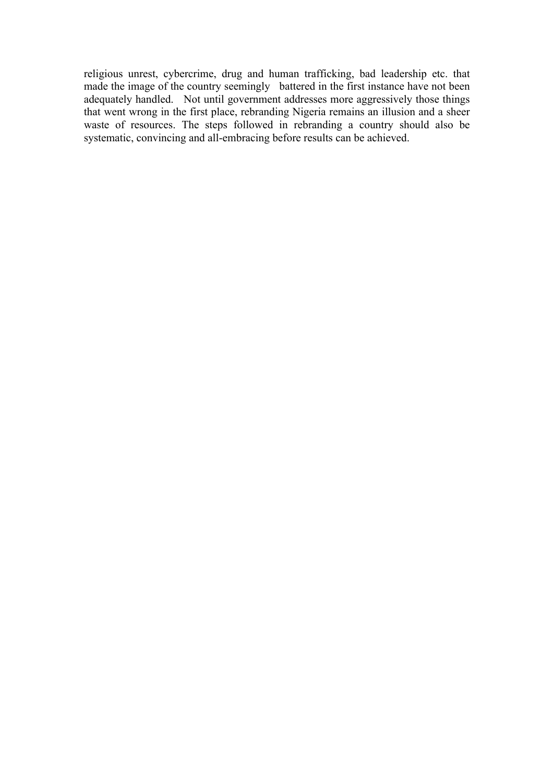religious unrest, cybercrime, drug and human trafficking, bad leadership etc. that made the image of the country seemingly battered in the first instance have not been adequately handled. Not until government addresses more aggressively those things that went wrong in the first place, rebranding Nigeria remains an illusion and a sheer waste of resources. The steps followed in rebranding a country should also be systematic, convincing and all-embracing before results can be achieved.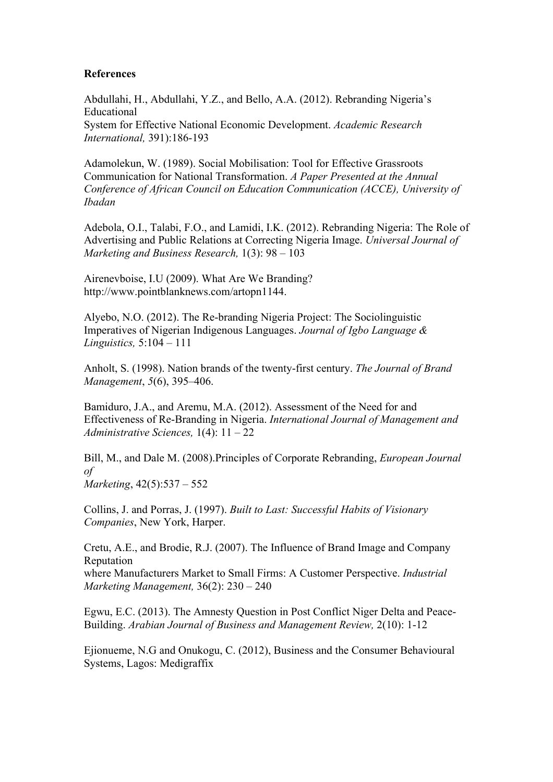#### **References**

Abdullahi, H., Abdullahi, Y.Z., and Bello, A.A. (2012). Rebranding Nigeria's Educational System for Effective National Economic Development. *Academic Research International,* 391):186-193

Adamolekun, W. (1989). Social Mobilisation: Tool for Effective Grassroots Communication for National Transformation. *A Paper Presented at the Annual Conference of African Council on Education Communication (ACCE), University of Ibadan*

Adebola, O.I., Talabi, F.O., and Lamidi, I.K. (2012). Rebranding Nigeria: The Role of Advertising and Public Relations at Correcting Nigeria Image. *Universal Journal of Marketing and Business Research,* 1(3): 98 – 103

Airenevboise, I.U (2009). What Are We Branding? http://www.pointblanknews.com/artopn1144.

Alyebo, N.O. (2012). The Re-branding Nigeria Project: The Sociolinguistic Imperatives of Nigerian Indigenous Languages. *Journal of Igbo Language & Linguistics,* 5:104 – 111

Anholt, S. (1998). Nation brands of the twenty-first century. *The Journal of Brand Management*, *5*(6), 395–406.

Bamiduro, J.A., and Aremu, M.A. (2012). Assessment of the Need for and Effectiveness of Re-Branding in Nigeria. *International Journal of Management and Administrative Sciences,* 1(4): 11 – 22

Bill, M., and Dale M. (2008).Principles of Corporate Rebranding, *European Journal of*

*Marketing*, 42(5):537 – 552

Collins, J. and Porras, J. (1997). *Built to Last: Successful Habits of Visionary Companies*, New York, Harper.

Cretu, A.E., and Brodie, R.J. (2007). The Influence of Brand Image and Company Reputation

where Manufacturers Market to Small Firms: A Customer Perspective. *Industrial Marketing Management,* 36(2): 230 – 240

Egwu, E.C. (2013). The Amnesty Question in Post Conflict Niger Delta and Peace-Building. *Arabian Journal of Business and Management Review,* 2(10): 1-12

Ejionueme, N.G and Onukogu, C. (2012), Business and the Consumer Behavioural Systems, Lagos: Medigraffix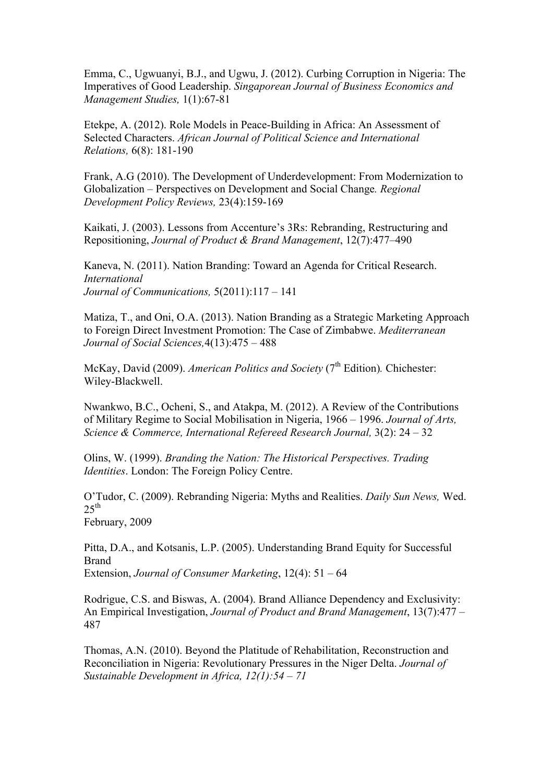Emma, C., Ugwuanyi, B.J., and Ugwu, J. (2012). Curbing Corruption in Nigeria: The Imperatives of Good Leadership. *Singaporean Journal of Business Economics and Management Studies,* 1(1):67-81

Etekpe, A. (2012). Role Models in Peace-Building in Africa: An Assessment of Selected Characters. *African Journal of Political Science and International Relations,* 6(8): 181-190

Frank, A.G (2010). The Development of Underdevelopment: From Modernization to Globalization – Perspectives on Development and Social Change*. Regional Development Policy Reviews,* 23(4):159-169

Kaikati, J. (2003). Lessons from Accenture's 3Rs: Rebranding, Restructuring and Repositioning, *Journal of Product & Brand Management*, 12(7):477–490

Kaneva, N. (2011). Nation Branding: Toward an Agenda for Critical Research. *International Journal of Communications,* 5(2011):117 – 141

Matiza, T., and Oni, O.A. (2013). Nation Branding as a Strategic Marketing Approach to Foreign Direct Investment Promotion: The Case of Zimbabwe. *Mediterranean Journal of Social Sciences,*4(13):475 – 488

McKay, David (2009). *American Politics and Society* (7<sup>th</sup> Edition). Chichester: Wiley-Blackwell.

Nwankwo, B.C., Ocheni, S., and Atakpa, M. (2012). A Review of the Contributions of Military Regime to Social Mobilisation in Nigeria, 1966 – 1996. *Journal of Arts, Science & Commerce, International Refereed Research Journal,* 3(2): 24 – 32

Olins, W. (1999). *Branding the Nation: The Historical Perspectives. Trading Identities*. London: The Foreign Policy Centre.

O'Tudor, C. (2009). Rebranding Nigeria: Myths and Realities. *Daily Sun News,* Wed.  $2.5^{\text{th}}$ 

February, 2009

Pitta, D.A., and Kotsanis, L.P. (2005). Understanding Brand Equity for Successful Brand Extension, *Journal of Consumer Marketing*, 12(4): 51 – 64

Rodrigue, C.S. and Biswas, A. (2004). Brand Alliance Dependency and Exclusivity: An Empirical Investigation, *Journal of Product and Brand Management*, 13(7):477 – 487

Thomas, A.N. (2010). Beyond the Platitude of Rehabilitation, Reconstruction and Reconciliation in Nigeria: Revolutionary Pressures in the Niger Delta. *Journal of Sustainable Development in Africa, 12(1):54 – 71*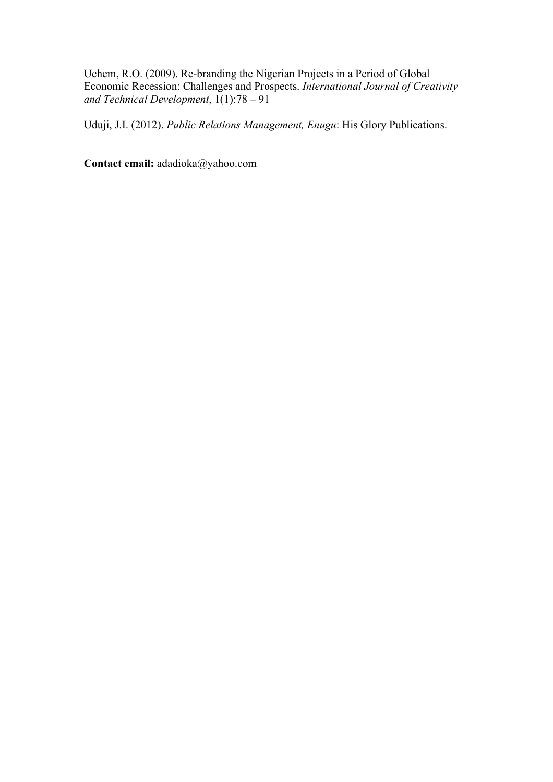Uchem, R.O. (2009). Re-branding the Nigerian Projects in a Period of Global Economic Recession: Challenges and Prospects. *International Journal of Creativity and Technical Development*, 1(1):78 – 91

Uduji, J.I. (2012). *Public Relations Management, Enugu*: His Glory Publications.

**Contact email:** adadioka@yahoo.com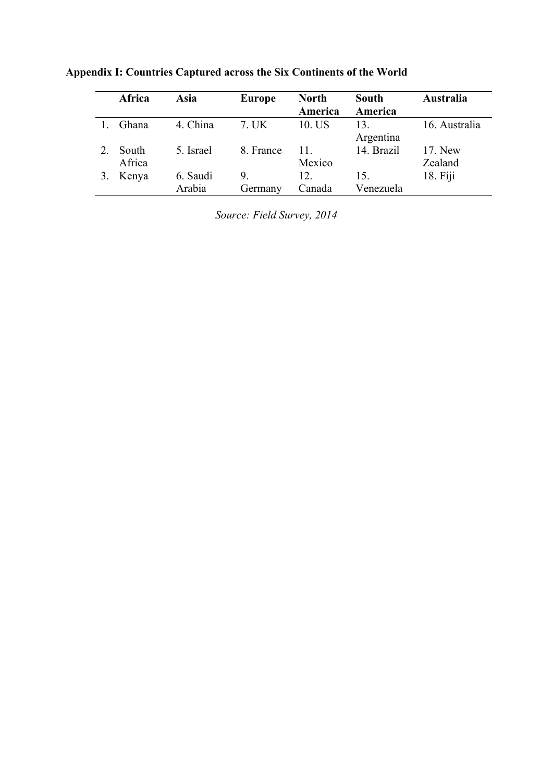| Africa          | Asia               | <b>Europe</b> | <b>North</b><br>America | South<br>America | Australia          |
|-----------------|--------------------|---------------|-------------------------|------------------|--------------------|
| Ghana           | 4. China           | 7. UK         | 10. US                  | 13.<br>Argentina | 16. Australia      |
| South<br>Africa | 5 Israel           | 8. France     | 11<br>Mexico            | 14. Brazil       | 17. New<br>Zealand |
| Kenya           | 6. Saudi<br>Arabia | 9<br>Germany  | 12.<br>Canada           | 15.<br>Venezuela | $18.$ Fiji         |

**Appendix I: Countries Captured across the Six Continents of the World**

*Source: Field Survey, 2014*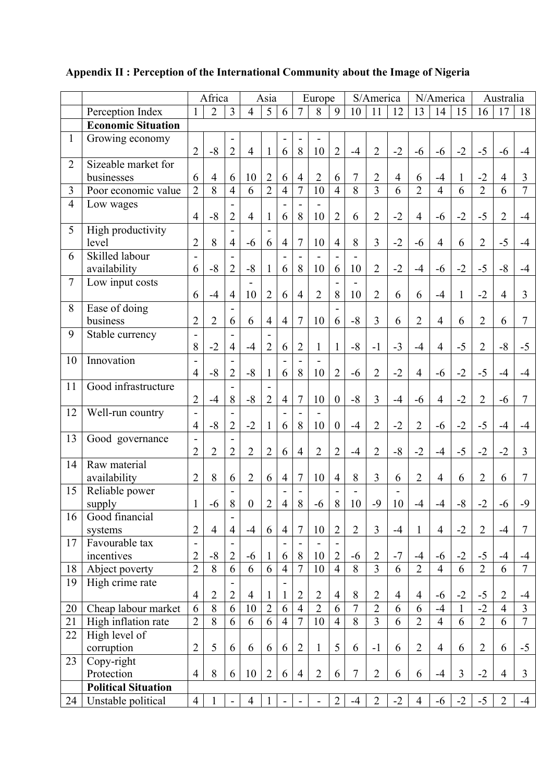|                |                            | Africa                                     |                     |                                            | Asia             |                   | Europe         |                |                                |                  | S/America      |                | N/America      |                |                | Australia      |                |                |                |
|----------------|----------------------------|--------------------------------------------|---------------------|--------------------------------------------|------------------|-------------------|----------------|----------------|--------------------------------|------------------|----------------|----------------|----------------|----------------|----------------|----------------|----------------|----------------|----------------|
|                | Perception Index           |                                            | $\overline{2}$<br>3 |                                            | 4                | 5                 | 6              | 7<br>8<br>9    |                                | 10<br>11<br>12   |                |                | 13<br>14<br>15 |                |                |                | 16<br>17<br>18 |                |                |
|                | <b>Economic Situation</b>  |                                            |                     |                                            |                  |                   |                |                |                                |                  |                |                |                |                |                |                |                |                |                |
| $\mathbf{1}$   | Growing economy            |                                            |                     |                                            |                  |                   |                |                |                                |                  |                |                |                |                |                |                |                |                |                |
|                |                            | $\overline{2}$                             | $-8$                | $\overline{2}$                             | $\overline{4}$   | 1                 | 6              | 8              | 10                             | $\overline{2}$   | $-4$           | $\overline{2}$ | $-2$           | $-6$           | $-6$           | $-2$           | $-5$           | $-6$           | $-4$           |
| $\overline{2}$ | Sizeable market for        |                                            |                     |                                            |                  |                   |                |                |                                |                  |                |                |                |                |                |                |                |                |                |
|                | businesses                 | 6                                          | $\overline{4}$      | 6                                          | 10               | $\overline{2}$    | 6              | $\overline{4}$ | $\overline{2}$                 | 6                | $\overline{7}$ | $\overline{2}$ | $\overline{4}$ | 6              | $-4$           |                | $-2$           | $\overline{4}$ | 3              |
| 3              | Poor economic value        | $\overline{2}$                             | $\overline{8}$      | $\overline{4}$                             | 6                | $\overline{2}$    | $\overline{4}$ | $\overline{7}$ | 10                             | $\overline{4}$   | $\overline{8}$ | $\overline{3}$ | 6              | $\overline{2}$ | $\overline{4}$ | 6              | $\overline{2}$ | 6              | $\overline{7}$ |
| $\overline{4}$ | Low wages                  |                                            |                     |                                            |                  |                   |                |                |                                |                  |                |                |                |                |                |                |                |                |                |
|                |                            | $\overline{4}$                             | $-8$                | $\overline{2}$                             | $\overline{4}$   |                   | 6              | 8              | 10                             | $\overline{2}$   | 6              | $\overline{2}$ | $-2$           | $\overline{4}$ | $-6$           | $-2$           | $-5$           | $\overline{2}$ | $-4$           |
| 5              | High productivity          |                                            |                     |                                            |                  |                   |                |                |                                |                  |                |                |                |                |                |                |                |                |                |
|                | level                      | $\overline{2}$                             | 8                   | $\overline{4}$                             | $-6$             | 6                 | $\overline{4}$ | 7              | 10                             | $\overline{4}$   | 8              | 3              | $-2$           | $-6$           | $\overline{4}$ | 6              | $\overline{2}$ | $-5$           | $-4$           |
| 6              | Skilled labour             | $\overline{\phantom{a}}$                   |                     |                                            |                  |                   |                |                |                                |                  |                |                |                |                |                |                |                |                |                |
|                | availability               | 6                                          | $-8$                | $\overline{2}$                             | $-8$             |                   | 6              | 8              | 10                             | 6                | 10             | $\overline{2}$ | $-2$           | $-4$           | $-6$           | $-2$           | $-5$           | $-8$           | $-4$           |
| $\overline{7}$ | Low input costs            |                                            |                     |                                            |                  |                   |                |                |                                |                  |                |                |                |                |                |                |                |                |                |
|                |                            | 6                                          | $-4$                | $\overline{4}$                             | 10               | $\overline{2}$    | 6              | $\overline{4}$ | $\overline{2}$                 | 8                | 10             | $\overline{2}$ | 6              | 6              | $-4$           | 1              | $-2$           | $\overline{4}$ | 3              |
| 8              | Ease of doing              |                                            |                     |                                            |                  |                   |                |                |                                |                  |                |                |                |                |                |                |                |                |                |
|                | business                   | $\overline{2}$                             | $\overline{2}$      | 6                                          | 6                | $\overline{4}$    | $\overline{4}$ | 7              | 10                             | 6                | $-8$           | 3              | 6              | $\overline{2}$ | $\overline{4}$ | 6              | $\overline{2}$ | 6              | 7              |
| 9              | Stable currency            | $\overline{\phantom{a}}$                   |                     |                                            |                  |                   |                |                |                                |                  |                |                |                |                |                |                |                |                |                |
|                |                            | 8                                          | $-2$                | $\overline{4}$                             | $-4$             | $\overline{2}$    | 6              | $\overline{2}$ | $\mathbf{1}$                   | $\mathbf{1}$     | $-8$           | $-1$           | $-3$           | $-4$           | $\overline{4}$ | $-5$           | $\overline{2}$ | $-8$           | $-5$           |
| 10             | Innovation                 |                                            |                     |                                            |                  |                   |                |                |                                |                  |                |                |                |                |                |                |                |                |                |
|                |                            | $\overline{4}$                             | $-8$                | $\overline{2}$                             | $-8$             |                   | 6              | 8              | 10                             | $\overline{2}$   | $-6$           | $\overline{2}$ | $-2$           | $\overline{4}$ | $-6$           | $-2$           | $-5$           | $-4$           | $-4$           |
| 11             | Good infrastructure        |                                            |                     |                                            |                  |                   |                |                |                                |                  |                |                |                |                |                |                |                |                |                |
|                |                            | $\overline{2}$                             | $-4$                | 8                                          | $-8$             | $\overline{2}$    | $\overline{4}$ | 7              | 10                             | $\boldsymbol{0}$ | $-8$           | $\overline{3}$ | $-4$           | $-6$           | $\overline{4}$ | $-2$           | $\overline{2}$ | $-6$           | 7              |
| 12             | Well-run country           | $\blacksquare$                             |                     |                                            |                  |                   |                |                |                                |                  |                |                |                |                |                |                |                |                |                |
|                |                            | $\overline{4}$                             | $-8$                | $\overline{2}$                             | $-2$             |                   | 6              | 8              | 10                             | $\boldsymbol{0}$ | $-4$           | $\overline{2}$ | $-2$           | $\overline{2}$ | $-6$           | $-2$           | $-5$           | $-4$           | $-4$           |
| 13             | Good governance            | $\overline{\phantom{0}}$                   |                     |                                            |                  |                   |                |                |                                |                  |                |                |                |                |                |                |                |                |                |
|                |                            | $\overline{2}$                             | $\overline{c}$      | $\overline{2}$                             | $\overline{2}$   | $\overline{2}$    | 6              | $\overline{4}$ | $\overline{2}$                 | $\overline{2}$   | $-4$           | $\overline{2}$ | $-8$           | $-2$           | $-4$           | $-5$           | $-2$           | $-2$           | 3              |
| 14             | Raw material               |                                            |                     |                                            |                  |                   |                |                |                                |                  |                |                |                |                |                |                |                |                |                |
|                | availability               | $\overline{2}$                             | 8                   | 6                                          | $\overline{2}$   | 6                 | $\overline{4}$ | 7              | 10                             | $\overline{4}$   | 8              | 3              | 6              | $\overline{2}$ | $\overline{4}$ | 6              | $\overline{2}$ | 6              | 7              |
| 15             | Reliable power             |                                            |                     | 8                                          |                  | $\overline{2}$    |                | 8              |                                |                  |                | $-9$           |                |                |                |                | $-2$           |                | $-9$           |
|                | supply<br>Good financial   | $\mathbf{1}$                               | $-6$                |                                            | $\boldsymbol{0}$ |                   | $\overline{4}$ |                | $-6$                           | $\,8\,$          | 10             |                | 10             | $-4$           | $-4$           | $-8$           |                | $-6$           |                |
| 16             |                            | $\overline{2}$                             | $\overline{4}$      | $\overline{4}$                             | $-4$             | 6                 | $\overline{4}$ | 7              | 10                             | $\overline{2}$   | $\overline{2}$ | $\overline{3}$ | $-4$           | $\mathbf{1}$   | $\overline{4}$ | $-2$           | $\overline{2}$ | $-4$           | $\tau$         |
| 17             | systems<br>Favourable tax  |                                            |                     |                                            |                  |                   |                |                |                                |                  |                |                |                |                |                |                |                |                |                |
|                | incentives                 | $\overline{\phantom{a}}$<br>$\overline{2}$ | $-8$                | $\overline{\phantom{a}}$<br>$\overline{2}$ | $-6$             |                   | 6              | 8              | $\overline{\phantom{a}}$<br>10 | $\overline{2}$   | $-6$           | $\overline{2}$ | $-7$           | $-4$           | $-6$           | $-2$           | $-5$           | $-4$           | $-4$           |
| 18             | Abject poverty             | $\overline{2}$                             | 8                   | 6                                          | 6                | $\mathbf{I}$<br>6 | $\overline{4}$ | $\overline{7}$ | 10                             | $\overline{4}$   | $\overline{8}$ | $\overline{3}$ | 6              | $\overline{2}$ | $\overline{4}$ | 6              | $\overline{2}$ | 6              | $\overline{7}$ |
| 19             | High crime rate            |                                            |                     |                                            |                  |                   |                |                |                                |                  |                |                |                |                |                |                |                |                |                |
|                |                            | $\overline{4}$                             | $\sqrt{2}$          | $\overline{2}$                             | $\overline{4}$   | 1                 | $\mathbf{1}$   | $\overline{2}$ | $\overline{2}$                 | $\overline{4}$   | 8              | $\overline{2}$ | $\overline{4}$ | $\overline{4}$ | $-6$           | $-2$           | $-5$           | $\overline{2}$ | $-4$           |
| 20             | Cheap labour market        | 6                                          | $\overline{8}$      | 6                                          | 10               | $\overline{2}$    | 6              | $\overline{4}$ | $\overline{2}$                 | 6                | $\overline{7}$ | $\overline{2}$ | 6              | 6              | $-4$           | $\mathbf{1}$   | $-2$           | $\overline{4}$ | $\overline{3}$ |
| 21             | High inflation rate        | $\overline{2}$                             | 8                   | 6                                          | 6                | 6                 | $\overline{4}$ | $\overline{7}$ | 10                             | $\overline{4}$   | 8              | $\overline{3}$ | 6              | $\overline{2}$ | $\overline{4}$ | 6              | $\overline{2}$ | 6              | $\overline{7}$ |
| 22             | High level of              |                                            |                     |                                            |                  |                   |                |                |                                |                  |                |                |                |                |                |                |                |                |                |
|                | corruption                 | $\overline{2}$                             | 5                   | 6                                          | 6                | 6                 | 6              | $\overline{2}$ | $\mathbf{1}$                   | 5                | 6              | $-1$           | 6              | $\overline{2}$ | $\overline{4}$ | 6              | $\overline{2}$ | 6              | $-5$           |
| 23             | Copy-right                 |                                            |                     |                                            |                  |                   |                |                |                                |                  |                |                |                |                |                |                |                |                |                |
|                | Protection                 | $\overline{4}$                             | 8                   | 6                                          | 10               | $\overline{2}$    | 6              | $\overline{4}$ | $\overline{2}$                 | 6                | $\overline{7}$ | $\overline{2}$ | 6              | 6              | $-4$           | $\overline{3}$ | $-2$           | $\overline{4}$ | $\overline{3}$ |
|                | <b>Political Situation</b> |                                            |                     |                                            |                  |                   |                |                |                                |                  |                |                |                |                |                |                |                |                |                |
| 24             | Unstable political         | $\overline{4}$                             | $\overline{1}$      |                                            | 4                |                   |                |                |                                | $\overline{2}$   | $-4$           | $\overline{2}$ | $-2$           | $\overline{4}$ | $-6$           | $-2$           | $-5$           | $\overline{2}$ | $-4$           |
|                |                            |                                            |                     |                                            |                  |                   |                |                |                                |                  |                |                |                |                |                |                |                |                |                |

# **Appendix II : Perception of the International Community about the Image of Nigeria**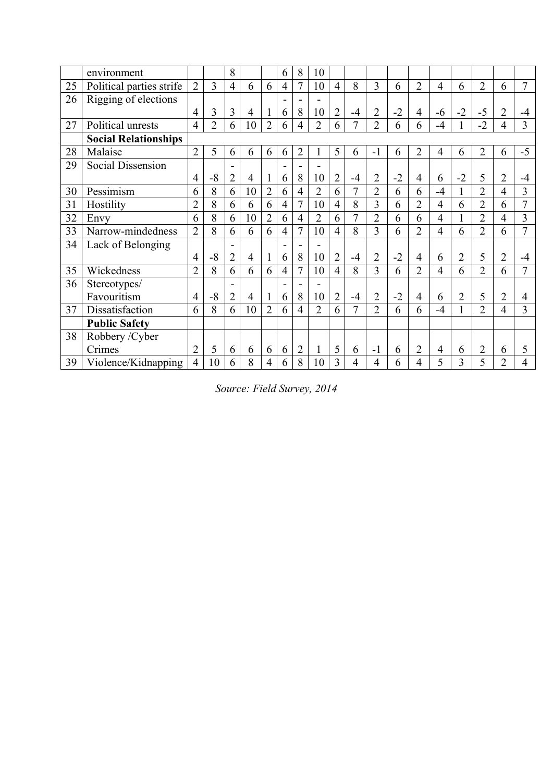|    | environment                 |                |                | 8              |    |                | 6                        | 8              | 10             |                |      |                |      |                |                |                |                |                |      |
|----|-----------------------------|----------------|----------------|----------------|----|----------------|--------------------------|----------------|----------------|----------------|------|----------------|------|----------------|----------------|----------------|----------------|----------------|------|
| 25 | Political parties strife    | $\overline{2}$ | 3              | $\overline{4}$ | 6  | 6              | $\overline{4}$           | 7              | 10             | $\overline{4}$ | 8    | $\overline{3}$ | 6    | $\overline{2}$ | $\overline{4}$ | 6              | $\overline{2}$ | 6              | 7    |
| 26 | Rigging of elections        |                |                |                |    |                | $\overline{\phantom{0}}$ |                | $\blacksquare$ |                |      |                |      |                |                |                |                |                |      |
|    |                             | 4              | 3              | 3              | 4  |                | 6                        | 8              | 10             | $\overline{2}$ | $-4$ | $\overline{2}$ | $-2$ | $\overline{4}$ | $-6$           | $-2$           | $-5$           | $\overline{2}$ | -4   |
| 27 | Political unrests           | $\overline{4}$ | $\overline{2}$ | 6              | 10 | $\overline{2}$ | 6                        | $\overline{4}$ | $\overline{2}$ | 6              | 7    | $\overline{2}$ | 6    | 6              | $-4$           |                | $-2$           | $\overline{4}$ | 3    |
|    | <b>Social Relationships</b> |                |                |                |    |                |                          |                |                |                |      |                |      |                |                |                |                |                |      |
| 28 | Malaise                     | $\overline{2}$ | 5              | 6              | 6  | 6              | 6                        | $\overline{2}$ |                | 5              | 6    | $-1$           | 6    | $\overline{2}$ | $\overline{4}$ | 6              | $\overline{2}$ | 6              | $-5$ |
| 29 | Social Dissension           |                |                |                |    |                |                          |                | ۰              |                |      |                |      |                |                |                |                |                |      |
|    |                             | 4              | $-8$           | $\overline{2}$ | 4  |                | 6                        | 8              | 10             | $\overline{2}$ | $-4$ | 2              | $-2$ | $\overline{4}$ | 6              | $-2$           | 5              | $\overline{2}$ | $-4$ |
| 30 | Pessimism                   | 6              | 8              | 6              | 10 | $\overline{2}$ | 6                        | 4              | $\overline{2}$ | 6              | 7    | $\overline{2}$ | 6    | 6              | $-4$           |                | $\overline{2}$ | 4              | 3    |
| 31 | Hostility                   | $\overline{2}$ | 8              | 6              | 6  | 6              | $\overline{4}$           | 7              | 10             | $\overline{4}$ | 8    | 3              | 6    | $\overline{2}$ | 4              | 6              | $\overline{2}$ | 6              | 7    |
| 32 | Envy                        | 6              | 8              | 6              | 10 | $\overline{2}$ | 6                        | $\overline{4}$ | $\overline{2}$ | 6              | 7    | $\overline{2}$ | 6    | 6              | $\overline{4}$ |                | $\overline{2}$ | 4              | 3    |
| 33 | Narrow-mindedness           | $\overline{2}$ | 8              | 6              | 6  | 6              | $\overline{4}$           | 7              | 10             | $\overline{4}$ | 8    | 3              | 6    | $\overline{2}$ | 4              | 6              | $\overline{2}$ | 6              | 7    |
| 34 | Lack of Belonging           |                |                |                |    |                |                          |                |                |                |      |                |      |                |                |                |                |                |      |
|    |                             | 4              | $-8$           | $\overline{2}$ | 4  |                | 6                        | 8              | 10             | $\overline{2}$ | $-4$ | $\overline{2}$ | $-2$ | $\overline{4}$ | 6              | $\overline{2}$ | 5              | $\overline{2}$ | -4   |
| 35 | Wickedness                  | $\overline{2}$ | 8              | 6              | 6  | 6              | $\overline{4}$           | 7              | 10             | $\overline{4}$ | 8    | 3              | 6    | $\overline{2}$ | $\overline{4}$ | 6              | $\overline{2}$ | 6              | 7    |
| 36 | Stereotypes/                |                |                |                |    |                |                          |                | L.             |                |      |                |      |                |                |                |                |                |      |
|    | Favouritism                 | 4              | $-8$           | $\overline{2}$ | 4  |                | 6                        | 8              | 10             | $\overline{2}$ | $-4$ | $\overline{2}$ | $-2$ | $\overline{4}$ | 6              | $\overline{2}$ | 5              | $\overline{2}$ | 4    |
| 37 | Dissatisfaction             | 6              | 8              | 6              | 10 | $\overline{2}$ | 6                        | $\overline{4}$ | $\overline{2}$ | 6              | 7    | $\overline{2}$ | 6    | 6              | $-4$           |                | $\overline{2}$ | $\overline{4}$ | 3    |
|    | <b>Public Safety</b>        |                |                |                |    |                |                          |                |                |                |      |                |      |                |                |                |                |                |      |
| 38 | Robbery / Cyber             |                |                |                |    |                |                          |                |                |                |      |                |      |                |                |                |                |                |      |
|    | Crimes                      | $\overline{2}$ | 5              | 6              | 6  | 6              | 6                        | $\overline{2}$ | $\mathbf{1}$   | 5              | 6    | $-1$           | 6    | $\overline{2}$ | 4              | 6              | $\overline{2}$ | 6              | 5    |
| 39 | Violence/Kidnapping         | 4              | 10             | 6              | 8  | 4              | 6                        | 8              | 10             | 3              | 4    | 4              | 6    | 4              | 5              | 3              | 5              | $\overline{2}$ | 4    |

*Source: Field Survey, 2014*